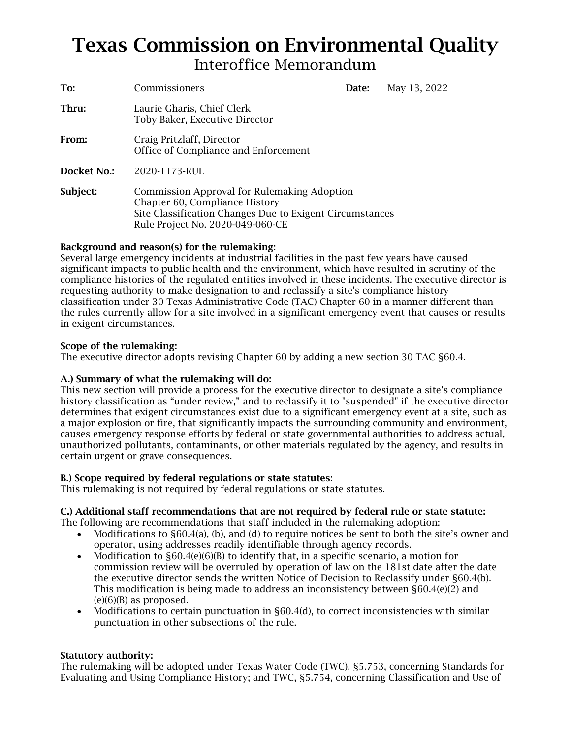# Texas Commission on Environmental Quality Interoffice Memorandum

| To:         | Commissioners                                                                                                                                                                 | Date: | May 13, 2022 |
|-------------|-------------------------------------------------------------------------------------------------------------------------------------------------------------------------------|-------|--------------|
| Thru:       | Laurie Gharis, Chief Clerk<br>Toby Baker, Executive Director                                                                                                                  |       |              |
| From:       | Craig Pritzlaff, Director<br>Office of Compliance and Enforcement                                                                                                             |       |              |
| Docket No.: | 2020-1173-RUL                                                                                                                                                                 |       |              |
| Subject:    | Commission Approval for Rulemaking Adoption<br>Chapter 60, Compliance History<br>Site Classification Changes Due to Exigent Circumstances<br>Rule Project No. 2020-049-060-CE |       |              |

# Background and reason(s) for the rulemaking:

 Several large emergency incidents at industrial facilities in the past few years have caused requesting authority to make designation to and reclassify a site's compliance history significant impacts to public health and the environment, which have resulted in scrutiny of the compliance histories of the regulated entities involved in these incidents. The executive director is classification under 30 Texas Administrative Code (TAC) Chapter 60 in a manner different than the rules currently allow for a site involved in a significant emergency event that causes or results in exigent circumstances.

# Scope of the rulemaking:

The executive director adopts revising Chapter 60 by adding a new section 30 TAC §60.4.

# A.) Summary of what the rulemaking will do:

 history classification as "under review," and to reclassify it to "suspended" if the executive director This new section will provide a process for the executive director to designate a site's compliance determines that exigent circumstances exist due to a significant emergency event at a site, such as a major explosion or fire, that significantly impacts the surrounding community and environment, causes emergency response efforts by federal or state governmental authorities to address actual, unauthorized pollutants, contaminants, or other materials regulated by the agency, and results in certain urgent or grave consequences.

# B.) Scope required by federal regulations or state statutes:

This rulemaking is not required by federal regulations or state statutes.

#### C.) Additional staff recommendations that are not required by federal rule or state statute: The following are recommendations that staff included in the rulemaking adoption:

- Modifications to §60.4(a), (b), and (d) to require notices be sent to both the site's owner and operator, using addresses readily identifiable through agency records.
- Modification to  $\S60.4(e)(6)(B)$  to identify that, in a specific scenario, a motion for commission review will be overruled by operation of law on the 181st date after the date the executive director sends the written Notice of Decision to Reclassify under §60.4(b). This modification is being made to address an inconsistency between §60.4(e)(2) and  $(e)(6)(B)$  as proposed.
- Modifications to certain punctuation in §60.4(d), to correct inconsistencies with similar punctuation in other subsections of the rule.

# Statutory authority:

The rulemaking will be adopted under Texas Water Code (TWC), §5.753, concerning Standards for Evaluating and Using Compliance History; and TWC, §5.754, concerning Classification and Use of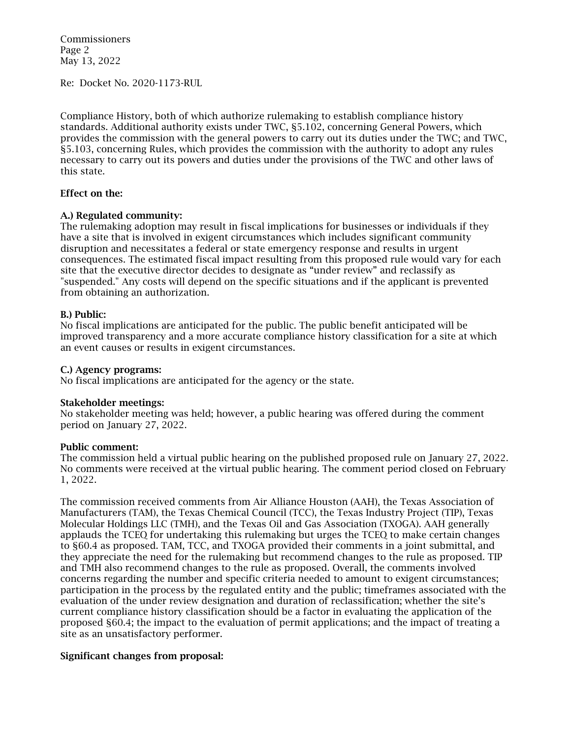May 13, 2022 Commissioners Page 2

Re: Docket No. 2020-1173-RUL

 standards. Additional authority exists under TWC, §5.102, concerning General Powers, which necessary to carry out its powers and duties under the provisions of the TWC and other laws of Compliance History, both of which authorize rulemaking to establish compliance history provides the commission with the general powers to carry out its duties under the TWC; and TWC, §5.103, concerning Rules, which provides the commission with the authority to adopt any rules this state.

# Effect on the:

## A.) Regulated community:

The rulemaking adoption may result in fiscal implications for businesses or individuals if they have a site that is involved in exigent circumstances which includes significant community disruption and necessitates a federal or state emergency response and results in urgent consequences. The estimated fiscal impact resulting from this proposed rule would vary for each site that the executive director decides to designate as "under review" and reclassify as "suspended." Any costs will depend on the specific situations and if the applicant is prevented from obtaining an authorization.

# B.) Public:

 improved transparency and a more accurate compliance history classification for a site at which No fiscal implications are anticipated for the public. The public benefit anticipated will be an event causes or results in exigent circumstances.

### C.) Agency programs:

No fiscal implications are anticipated for the agency or the state.

#### Stakeholder meetings:

 period on January 27, 2022. No stakeholder meeting was held; however, a public hearing was offered during the comment

#### Public comment:

 No comments were received at the virtual public hearing. The comment period closed on February 1, 2022. The commission held a virtual public hearing on the published proposed rule on January 27, 2022.

The commission received comments from Air Alliance Houston (AAH), the Texas Association of Manufacturers (TAM), the Texas Chemical Council (TCC), the Texas Industry Project (TIP), Texas Molecular Holdings LLC (TMH), and the Texas Oil and Gas Association (TXOGA). AAH generally applauds the TCEQ for undertaking this rulemaking but urges the TCEQ to make certain changes to §60.4 as proposed. TAM, TCC, and TXOGA provided their comments in a joint submittal, and they appreciate the need for the rulemaking but recommend changes to the rule as proposed. TIP and TMH also recommend changes to the rule as proposed. Overall, the comments involved concerns regarding the number and specific criteria needed to amount to exigent circumstances; participation in the process by the regulated entity and the public; timeframes associated with the evaluation of the under review designation and duration of reclassification; whether the site's current compliance history classification should be a factor in evaluating the application of the proposed §60.4; the impact to the evaluation of permit applications; and the impact of treating a site as an unsatisfactory performer.

# Significant changes from proposal: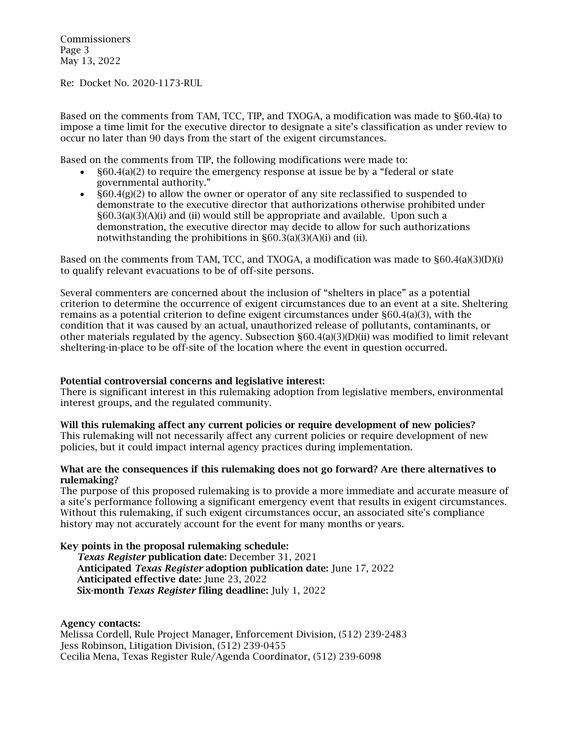May 13, 2022 Commissioners Page 3

Re: Docket No. 2020-1173-RUL

Based on the comments from TAM, TCC, TIP, and TXOGA, a modification was made to §60.4(a) to impose a time limit for the executive director to designate a site's classification as under review to occur no later than 90 days from the start of the exigent circumstances.

Based on the comments from TIP, the following modifications were made to:

- • §60.4(a)(2) to require the emergency response at issue be by a "federal or state governmental authority."
- $\S60.4(g)(2)$  to allow the owner or operator of any site reclassified to suspended to demonstrate to the executive director that authorizations otherwise prohibited under §60.3(a)(3)(A)(i) and (ii) would still be appropriate and available. Upon such a demonstration, the executive director may decide to allow for such authorizations notwithstanding the prohibitions in §60.3(a)(3)(A)(i) and (ii).

 Based on the comments from TAM, TCC, and TXOGA, a modification was made to §60.4(a)(3)(D)(i) to qualify relevant evacuations to be of off-site persons.

Several commenters are concerned about the inclusion of "shelters in place" as a potential criterion to determine the occurrence of exigent circumstances due to an event at a site. Sheltering remains as a potential criterion to define exigent circumstances under §60.4(a)(3), with the condition that it was caused by an actual, unauthorized release of pollutants, contaminants, or other materials regulated by the agency. Subsection  $\S60.4(a)(3)(D)(ii)$  was modified to limit relevant sheltering-in-place to be off-site of the location where the event in question occurred.

# Potential controversial concerns and legislative interest:

There is significant interest in this rulemaking adoption from legislative members, environmental interest groups, and the regulated community.

#### Will this rulemaking affect any current policies or require development of new policies?

This rulemaking will not necessarily affect any current policies or require development of new policies, but it could impact internal agency practices during implementation.

## What are the consequences if this rulemaking does not go forward? Are there alternatives to rulemaking?

 Without this rulemaking, if such exigent circumstances occur, an associated site's compliance The purpose of this proposed rulemaking is to provide a more immediate and accurate measure of a site's performance following a significant emergency event that results in exigent circumstances. history may not accurately account for the event for many months or years.

# Key points in the proposal rulemaking schedule:

 Anticipated effective date: June 23, 2022 *Texas Register* publication date: December 31, 2021 Anticipated *Texas Register* adoption publication date: June 17, 2022 Six-month *Texas Register* filing deadline: July 1, 2022

 Cecilia Mena, Texas Register Rule/Agenda Coordinator, (512) 239-6098 Agency contacts: Melissa Cordell, Rule Project Manager, Enforcement Division, (512) 239-2483 Jess Robinson, Litigation Division, (512) 239-0455